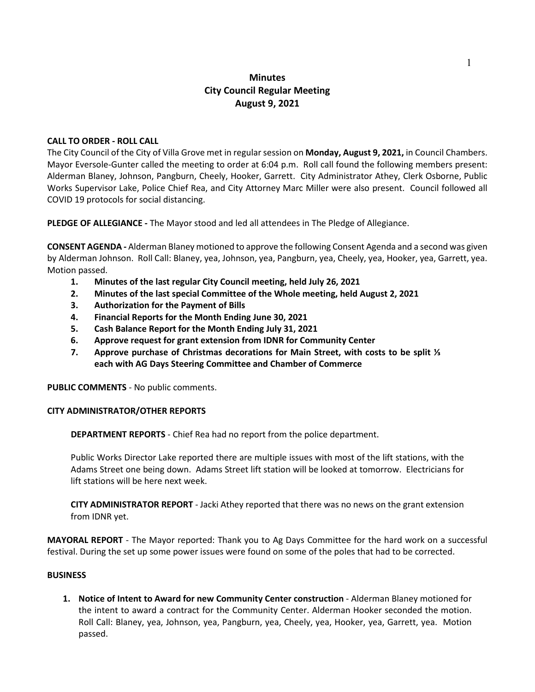# **Minutes City Council Regular Meeting August 9, 2021**

### **CALL TO ORDER - ROLL CALL**

The City Council of the City of Villa Grove met in regular session on **Monday, August 9, 2021,** in Council Chambers. Mayor Eversole-Gunter called the meeting to order at 6:04 p.m. Roll call found the following members present: Alderman Blaney, Johnson, Pangburn, Cheely, Hooker, Garrett. City Administrator Athey, Clerk Osborne, Public Works Supervisor Lake, Police Chief Rea, and City Attorney Marc Miller were also present. Council followed all COVID 19 protocols for social distancing.

**PLEDGE OF ALLEGIANCE -** The Mayor stood and led all attendees in The Pledge of Allegiance.

**CONSENT AGENDA -** Alderman Blaney motioned to approve the following Consent Agenda and a second was given by Alderman Johnson. Roll Call: Blaney, yea, Johnson, yea, Pangburn, yea, Cheely, yea, Hooker, yea, Garrett, yea. Motion passed.

- **1. Minutes of the last regular City Council meeting, held July 26, 2021**
- **2. Minutes of the last special Committee of the Whole meeting, held August 2, 2021**
- **3. Authorization for the Payment of [Bills](https://drive.google.com/file/d/1-guXTEf5AdEHfb7D1nBtQJO4pdp6OEuW/view?usp=sharing)**
- **4. Financial Reports for the Month Ending June 30, 2021**
- **5. Cash Balance Report for the Month Ending July 31, 2021**
- **6. Approve request for grant extension from IDNR for Community Center**
- **7. Approve purchase of Christmas decorations for Main Street, with costs to be split ⅓ each with AG Days Steering Committee and Chamber of Commerce**

**PUBLIC COMMENTS** - No public comments.

### **CITY ADMINISTRATOR/OTHER REPORTS**

**DEPARTMENT REPORTS** - Chief Rea had no report from the police department.

Public Works Director Lake reported there are multiple issues with most of the lift stations, with the Adams Street one being down. Adams Street lift station will be looked at tomorrow. Electricians for lift stations will be here next week.

**CITY ADMINISTRATOR REPORT** - Jacki Athey reported that there was no news on the grant extension from IDNR yet.

**MAYORAL REPORT** - The Mayor reported: Thank you to Ag Days Committee for the hard work on a successful festival. During the set up some power issues were found on some of the poles that had to be corrected.

#### **BUSINESS**

**1. Notice of Intent to Award for new Community Center construction** - Alderman Blaney motioned for the intent to award a contract for the Community Center. Alderman Hooker seconded the motion. Roll Call: Blaney, yea, Johnson, yea, Pangburn, yea, Cheely, yea, Hooker, yea, Garrett, yea. Motion passed.